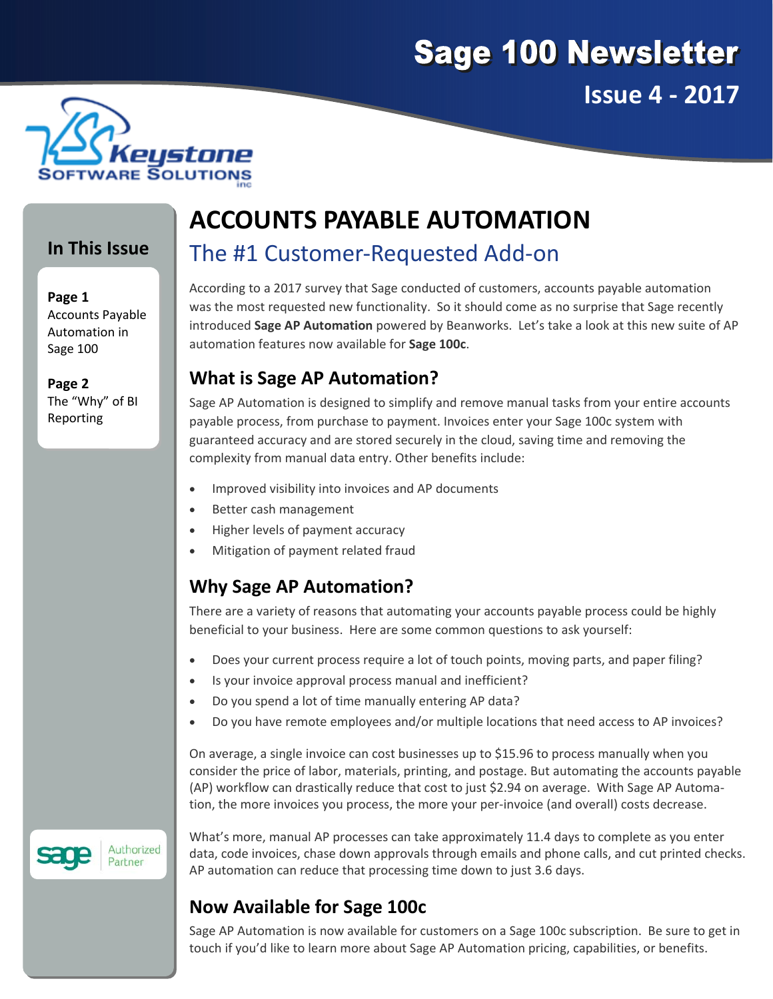



#### **In This Issue**

**Page 1** Accounts Payable Automation in Sage 100

**Page 2** The "Why" of BI Reporting

# **ACCOUNTS PAYABLE AUTOMATION**

# The #1 Customer‐Requested Add‐on

According to a 2017 survey that Sage conducted of customers, accounts payable automation was the most requested new functionality. So it should come as no surprise that Sage recently introduced **Sage AP Automation** powered by Beanworks. Let's take a look at this new suite of AP automation features now available for **Sage 100c**.

### **What is Sage AP Automation?**

Sage AP Automation is designed to simplify and remove manual tasks from your entire accounts payable process, from purchase to payment. Invoices enter your Sage 100c system with guaranteed accuracy and are stored securely in the cloud, saving time and removing the complexity from manual data entry. Other benefits include:

- Improved visibility into invoices and AP documents
- Better cash management
- Higher levels of payment accuracy
- Mitigation of payment related fraud

## **Why Sage AP Automation?**

There are a variety of reasons that automating your accounts payable process could be highly beneficial to your business. Here are some common questions to ask yourself:

- Does your current process require a lot of touch points, moving parts, and paper filing?
- Is your invoice approval process manual and inefficient?
- Do you spend a lot of time manually entering AP data?
- Do you have remote employees and/or multiple locations that need access to AP invoices?

On average, a single invoice can cost businesses up to \$15.96 to process manually when you consider the price of labor, materials, printing, and postage. But automating the accounts payable (AP) workflow can drastically reduce that cost to just \$2.94 on average. With Sage AP Automa‐ tion, the more invoices you process, the more your per‐invoice (and overall) costs decrease.

Authorized Partner

What's more, manual AP processes can take approximately 11.4 days to complete as you enter data, code invoices, chase down approvals through emails and phone calls, and cut printed checks. AP automation can reduce that processing time down to just 3.6 days.

## **Now Available for Sage 100c**

Sage AP Automation is now available for customers on a Sage 100c subscription. Be sure to get in touch if you'd like to learn more about Sage AP Automation pricing, capabilities, or benefits.